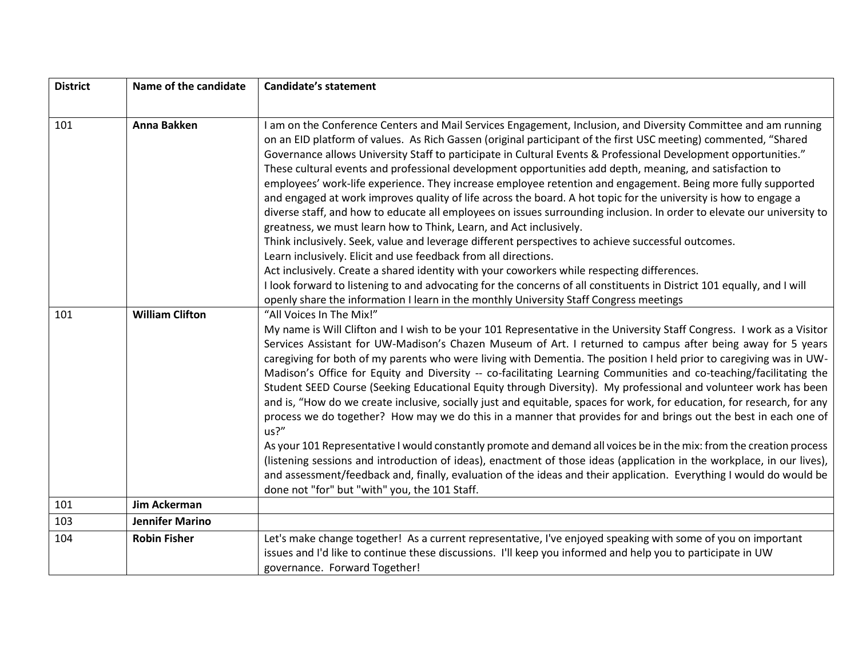| <b>District</b> | Name of the candidate  | <b>Candidate's statement</b>                                                                                                                                                                                                                                                                                                                                                                                                                                                                                                                                                                                                                                                                                                                                                                                                                                                                                                                                                                                                                                                                                                                                                                                                                                                                                                                                                                     |
|-----------------|------------------------|--------------------------------------------------------------------------------------------------------------------------------------------------------------------------------------------------------------------------------------------------------------------------------------------------------------------------------------------------------------------------------------------------------------------------------------------------------------------------------------------------------------------------------------------------------------------------------------------------------------------------------------------------------------------------------------------------------------------------------------------------------------------------------------------------------------------------------------------------------------------------------------------------------------------------------------------------------------------------------------------------------------------------------------------------------------------------------------------------------------------------------------------------------------------------------------------------------------------------------------------------------------------------------------------------------------------------------------------------------------------------------------------------|
|                 |                        |                                                                                                                                                                                                                                                                                                                                                                                                                                                                                                                                                                                                                                                                                                                                                                                                                                                                                                                                                                                                                                                                                                                                                                                                                                                                                                                                                                                                  |
| 101             | Anna Bakken            | I am on the Conference Centers and Mail Services Engagement, Inclusion, and Diversity Committee and am running<br>on an EID platform of values. As Rich Gassen (original participant of the first USC meeting) commented, "Shared<br>Governance allows University Staff to participate in Cultural Events & Professional Development opportunities."<br>These cultural events and professional development opportunities add depth, meaning, and satisfaction to<br>employees' work-life experience. They increase employee retention and engagement. Being more fully supported<br>and engaged at work improves quality of life across the board. A hot topic for the university is how to engage a<br>diverse staff, and how to educate all employees on issues surrounding inclusion. In order to elevate our university to<br>greatness, we must learn how to Think, Learn, and Act inclusively.<br>Think inclusively. Seek, value and leverage different perspectives to achieve successful outcomes.<br>Learn inclusively. Elicit and use feedback from all directions.<br>Act inclusively. Create a shared identity with your coworkers while respecting differences.<br>I look forward to listening to and advocating for the concerns of all constituents in District 101 equally, and I will<br>openly share the information I learn in the monthly University Staff Congress meetings |
| 101             | <b>William Clifton</b> | "All Voices In The Mix!"<br>My name is Will Clifton and I wish to be your 101 Representative in the University Staff Congress. I work as a Visitor<br>Services Assistant for UW-Madison's Chazen Museum of Art. I returned to campus after being away for 5 years<br>caregiving for both of my parents who were living with Dementia. The position I held prior to caregiving was in UW-<br>Madison's Office for Equity and Diversity -- co-facilitating Learning Communities and co-teaching/facilitating the<br>Student SEED Course (Seeking Educational Equity through Diversity). My professional and volunteer work has been<br>and is, "How do we create inclusive, socially just and equitable, spaces for work, for education, for research, for any<br>process we do together? How may we do this in a manner that provides for and brings out the best in each one of<br>us?''<br>As your 101 Representative I would constantly promote and demand all voices be in the mix: from the creation process<br>(listening sessions and introduction of ideas), enactment of those ideas (application in the workplace, in our lives),<br>and assessment/feedback and, finally, evaluation of the ideas and their application. Everything I would do would be<br>done not "for" but "with" you, the 101 Staff.                                                                               |
| 101             | Jim Ackerman           |                                                                                                                                                                                                                                                                                                                                                                                                                                                                                                                                                                                                                                                                                                                                                                                                                                                                                                                                                                                                                                                                                                                                                                                                                                                                                                                                                                                                  |
| 103             | <b>Jennifer Marino</b> |                                                                                                                                                                                                                                                                                                                                                                                                                                                                                                                                                                                                                                                                                                                                                                                                                                                                                                                                                                                                                                                                                                                                                                                                                                                                                                                                                                                                  |
| 104             | <b>Robin Fisher</b>    | Let's make change together! As a current representative, I've enjoyed speaking with some of you on important<br>issues and I'd like to continue these discussions. I'll keep you informed and help you to participate in UW<br>governance. Forward Together!                                                                                                                                                                                                                                                                                                                                                                                                                                                                                                                                                                                                                                                                                                                                                                                                                                                                                                                                                                                                                                                                                                                                     |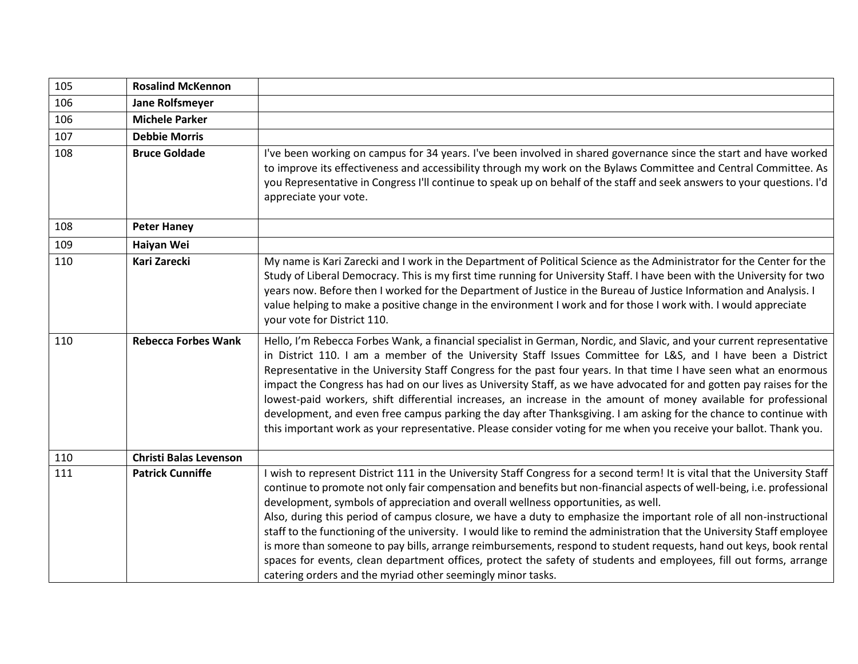| 105 | <b>Rosalind McKennon</b>      |                                                                                                                                                                                                                                                                                                                                                                                                                                                                                                                                                                                                                                                                                                                                                                                                                                                                                                       |
|-----|-------------------------------|-------------------------------------------------------------------------------------------------------------------------------------------------------------------------------------------------------------------------------------------------------------------------------------------------------------------------------------------------------------------------------------------------------------------------------------------------------------------------------------------------------------------------------------------------------------------------------------------------------------------------------------------------------------------------------------------------------------------------------------------------------------------------------------------------------------------------------------------------------------------------------------------------------|
| 106 | <b>Jane Rolfsmeyer</b>        |                                                                                                                                                                                                                                                                                                                                                                                                                                                                                                                                                                                                                                                                                                                                                                                                                                                                                                       |
| 106 | <b>Michele Parker</b>         |                                                                                                                                                                                                                                                                                                                                                                                                                                                                                                                                                                                                                                                                                                                                                                                                                                                                                                       |
| 107 | <b>Debbie Morris</b>          |                                                                                                                                                                                                                                                                                                                                                                                                                                                                                                                                                                                                                                                                                                                                                                                                                                                                                                       |
| 108 | <b>Bruce Goldade</b>          | I've been working on campus for 34 years. I've been involved in shared governance since the start and have worked<br>to improve its effectiveness and accessibility through my work on the Bylaws Committee and Central Committee. As<br>you Representative in Congress I'll continue to speak up on behalf of the staff and seek answers to your questions. I'd<br>appreciate your vote.                                                                                                                                                                                                                                                                                                                                                                                                                                                                                                             |
| 108 | <b>Peter Haney</b>            |                                                                                                                                                                                                                                                                                                                                                                                                                                                                                                                                                                                                                                                                                                                                                                                                                                                                                                       |
| 109 | Haiyan Wei                    |                                                                                                                                                                                                                                                                                                                                                                                                                                                                                                                                                                                                                                                                                                                                                                                                                                                                                                       |
| 110 | Kari Zarecki                  | My name is Kari Zarecki and I work in the Department of Political Science as the Administrator for the Center for the<br>Study of Liberal Democracy. This is my first time running for University Staff. I have been with the University for two<br>years now. Before then I worked for the Department of Justice in the Bureau of Justice Information and Analysis. I<br>value helping to make a positive change in the environment I work and for those I work with. I would appreciate<br>your vote for District 110.                                                                                                                                                                                                                                                                                                                                                                              |
| 110 | <b>Rebecca Forbes Wank</b>    | Hello, I'm Rebecca Forbes Wank, a financial specialist in German, Nordic, and Slavic, and your current representative<br>in District 110. I am a member of the University Staff Issues Committee for L&S, and I have been a District<br>Representative in the University Staff Congress for the past four years. In that time I have seen what an enormous<br>impact the Congress has had on our lives as University Staff, as we have advocated for and gotten pay raises for the<br>lowest-paid workers, shift differential increases, an increase in the amount of money available for professional<br>development, and even free campus parking the day after Thanksgiving. I am asking for the chance to continue with<br>this important work as your representative. Please consider voting for me when you receive your ballot. Thank you.                                                     |
| 110 | <b>Christi Balas Levenson</b> |                                                                                                                                                                                                                                                                                                                                                                                                                                                                                                                                                                                                                                                                                                                                                                                                                                                                                                       |
| 111 | <b>Patrick Cunniffe</b>       | wish to represent District 111 in the University Staff Congress for a second term! It is vital that the University Staff<br>continue to promote not only fair compensation and benefits but non-financial aspects of well-being, i.e. professional<br>development, symbols of appreciation and overall wellness opportunities, as well.<br>Also, during this period of campus closure, we have a duty to emphasize the important role of all non-instructional<br>staff to the functioning of the university. I would like to remind the administration that the University Staff employee<br>is more than someone to pay bills, arrange reimbursements, respond to student requests, hand out keys, book rental<br>spaces for events, clean department offices, protect the safety of students and employees, fill out forms, arrange<br>catering orders and the myriad other seemingly minor tasks. |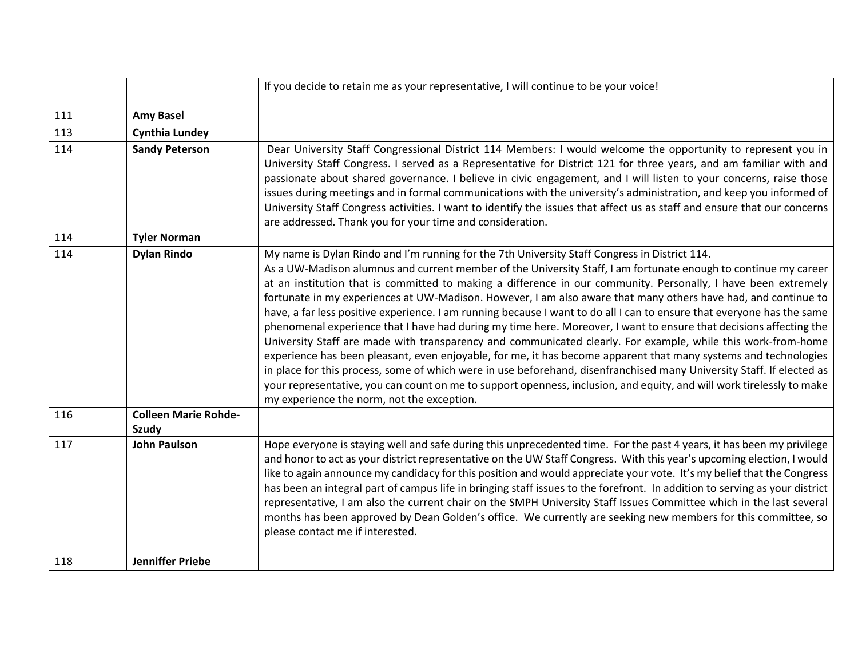|     |                                             | If you decide to retain me as your representative, I will continue to be your voice!                                                                                                                                                                                                                                                                                                                                                                                                                                                                                                                                                                                                                                                                                                                                                                                                                                                                                                                                                                                                                                                                                                                                                    |
|-----|---------------------------------------------|-----------------------------------------------------------------------------------------------------------------------------------------------------------------------------------------------------------------------------------------------------------------------------------------------------------------------------------------------------------------------------------------------------------------------------------------------------------------------------------------------------------------------------------------------------------------------------------------------------------------------------------------------------------------------------------------------------------------------------------------------------------------------------------------------------------------------------------------------------------------------------------------------------------------------------------------------------------------------------------------------------------------------------------------------------------------------------------------------------------------------------------------------------------------------------------------------------------------------------------------|
| 111 | <b>Amy Basel</b>                            |                                                                                                                                                                                                                                                                                                                                                                                                                                                                                                                                                                                                                                                                                                                                                                                                                                                                                                                                                                                                                                                                                                                                                                                                                                         |
| 113 | <b>Cynthia Lundey</b>                       |                                                                                                                                                                                                                                                                                                                                                                                                                                                                                                                                                                                                                                                                                                                                                                                                                                                                                                                                                                                                                                                                                                                                                                                                                                         |
| 114 | <b>Sandy Peterson</b>                       | Dear University Staff Congressional District 114 Members: I would welcome the opportunity to represent you in<br>University Staff Congress. I served as a Representative for District 121 for three years, and am familiar with and<br>passionate about shared governance. I believe in civic engagement, and I will listen to your concerns, raise those<br>issues during meetings and in formal communications with the university's administration, and keep you informed of<br>University Staff Congress activities. I want to identify the issues that affect us as staff and ensure that our concerns<br>are addressed. Thank you for your time and consideration.                                                                                                                                                                                                                                                                                                                                                                                                                                                                                                                                                                |
| 114 | <b>Tyler Norman</b>                         |                                                                                                                                                                                                                                                                                                                                                                                                                                                                                                                                                                                                                                                                                                                                                                                                                                                                                                                                                                                                                                                                                                                                                                                                                                         |
| 114 | <b>Dylan Rindo</b>                          | My name is Dylan Rindo and I'm running for the 7th University Staff Congress in District 114.<br>As a UW-Madison alumnus and current member of the University Staff, I am fortunate enough to continue my career<br>at an institution that is committed to making a difference in our community. Personally, I have been extremely<br>fortunate in my experiences at UW-Madison. However, I am also aware that many others have had, and continue to<br>have, a far less positive experience. I am running because I want to do all I can to ensure that everyone has the same<br>phenomenal experience that I have had during my time here. Moreover, I want to ensure that decisions affecting the<br>University Staff are made with transparency and communicated clearly. For example, while this work-from-home<br>experience has been pleasant, even enjoyable, for me, it has become apparent that many systems and technologies<br>in place for this process, some of which were in use beforehand, disenfranchised many University Staff. If elected as<br>your representative, you can count on me to support openness, inclusion, and equity, and will work tirelessly to make<br>my experience the norm, not the exception. |
| 116 | <b>Colleen Marie Rohde-</b><br><b>Szudy</b> |                                                                                                                                                                                                                                                                                                                                                                                                                                                                                                                                                                                                                                                                                                                                                                                                                                                                                                                                                                                                                                                                                                                                                                                                                                         |
| 117 | <b>John Paulson</b>                         | Hope everyone is staying well and safe during this unprecedented time. For the past 4 years, it has been my privilege<br>and honor to act as your district representative on the UW Staff Congress. With this year's upcoming election, I would<br>like to again announce my candidacy for this position and would appreciate your vote. It's my belief that the Congress<br>has been an integral part of campus life in bringing staff issues to the forefront. In addition to serving as your district<br>representative, I am also the current chair on the SMPH University Staff Issues Committee which in the last several<br>months has been approved by Dean Golden's office. We currently are seeking new members for this committee, so<br>please contact me if interested.                                                                                                                                                                                                                                                                                                                                                                                                                                                    |
| 118 | <b>Jenniffer Priebe</b>                     |                                                                                                                                                                                                                                                                                                                                                                                                                                                                                                                                                                                                                                                                                                                                                                                                                                                                                                                                                                                                                                                                                                                                                                                                                                         |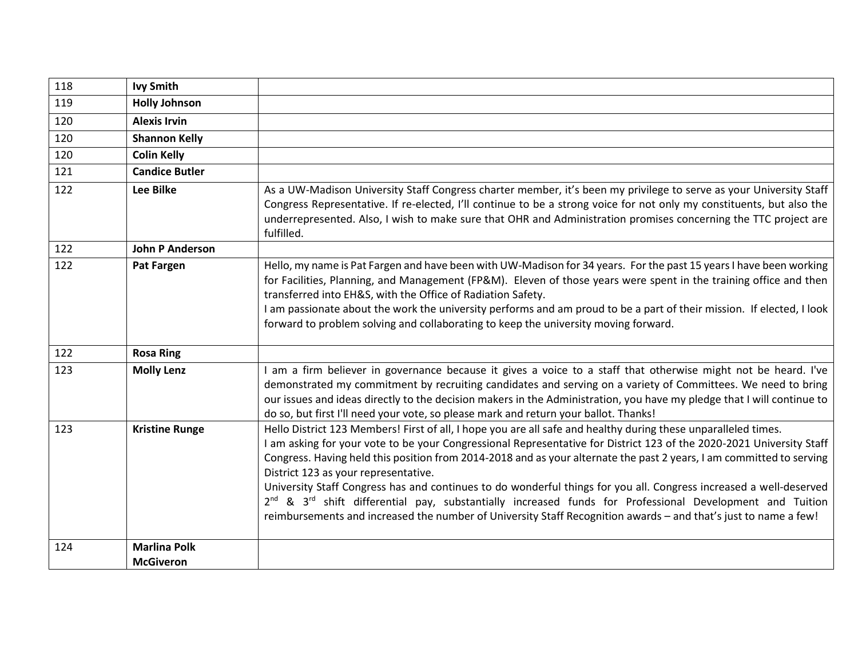| 118 | <b>Ivy Smith</b>                        |                                                                                                                                                                                                                                                                                                                                                                                                                                                                                                                                                                                                                                                                                                                                                                                     |
|-----|-----------------------------------------|-------------------------------------------------------------------------------------------------------------------------------------------------------------------------------------------------------------------------------------------------------------------------------------------------------------------------------------------------------------------------------------------------------------------------------------------------------------------------------------------------------------------------------------------------------------------------------------------------------------------------------------------------------------------------------------------------------------------------------------------------------------------------------------|
| 119 | <b>Holly Johnson</b>                    |                                                                                                                                                                                                                                                                                                                                                                                                                                                                                                                                                                                                                                                                                                                                                                                     |
| 120 | <b>Alexis Irvin</b>                     |                                                                                                                                                                                                                                                                                                                                                                                                                                                                                                                                                                                                                                                                                                                                                                                     |
| 120 | <b>Shannon Kelly</b>                    |                                                                                                                                                                                                                                                                                                                                                                                                                                                                                                                                                                                                                                                                                                                                                                                     |
| 120 | <b>Colin Kelly</b>                      |                                                                                                                                                                                                                                                                                                                                                                                                                                                                                                                                                                                                                                                                                                                                                                                     |
| 121 | <b>Candice Butler</b>                   |                                                                                                                                                                                                                                                                                                                                                                                                                                                                                                                                                                                                                                                                                                                                                                                     |
| 122 | <b>Lee Bilke</b>                        | As a UW-Madison University Staff Congress charter member, it's been my privilege to serve as your University Staff<br>Congress Representative. If re-elected, I'll continue to be a strong voice for not only my constituents, but also the<br>underrepresented. Also, I wish to make sure that OHR and Administration promises concerning the TTC project are<br>fulfilled.                                                                                                                                                                                                                                                                                                                                                                                                        |
| 122 | <b>John P Anderson</b>                  |                                                                                                                                                                                                                                                                                                                                                                                                                                                                                                                                                                                                                                                                                                                                                                                     |
| 122 | <b>Pat Fargen</b>                       | Hello, my name is Pat Fargen and have been with UW-Madison for 34 years. For the past 15 years I have been working<br>for Facilities, Planning, and Management (FP&M). Eleven of those years were spent in the training office and then<br>transferred into EH&S, with the Office of Radiation Safety.<br>I am passionate about the work the university performs and am proud to be a part of their mission. If elected, I look<br>forward to problem solving and collaborating to keep the university moving forward.                                                                                                                                                                                                                                                              |
| 122 | <b>Rosa Ring</b>                        |                                                                                                                                                                                                                                                                                                                                                                                                                                                                                                                                                                                                                                                                                                                                                                                     |
| 123 | <b>Molly Lenz</b>                       | am a firm believer in governance because it gives a voice to a staff that otherwise might not be heard. I've<br>demonstrated my commitment by recruiting candidates and serving on a variety of Committees. We need to bring<br>our issues and ideas directly to the decision makers in the Administration, you have my pledge that I will continue to<br>do so, but first I'll need your vote, so please mark and return your ballot. Thanks!                                                                                                                                                                                                                                                                                                                                      |
| 123 | <b>Kristine Runge</b>                   | Hello District 123 Members! First of all, I hope you are all safe and healthy during these unparalleled times.<br>I am asking for your vote to be your Congressional Representative for District 123 of the 2020-2021 University Staff<br>Congress. Having held this position from 2014-2018 and as your alternate the past 2 years, I am committed to serving<br>District 123 as your representative.<br>University Staff Congress has and continues to do wonderful things for you all. Congress increased a well-deserved<br>2 <sup>nd</sup> & 3 <sup>rd</sup> shift differential pay, substantially increased funds for Professional Development and Tuition<br>reimbursements and increased the number of University Staff Recognition awards - and that's just to name a few! |
| 124 | <b>Marlina Polk</b><br><b>McGiveron</b> |                                                                                                                                                                                                                                                                                                                                                                                                                                                                                                                                                                                                                                                                                                                                                                                     |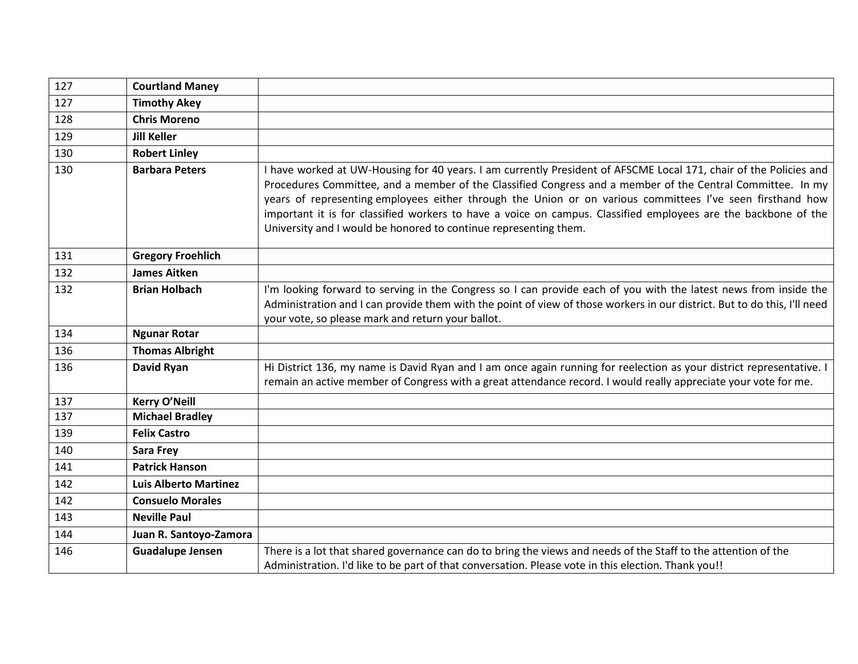| 127 | <b>Courtland Maney</b>       |                                                                                                                                                                                                                                                                                                                                                                                                                                                                                                                                    |
|-----|------------------------------|------------------------------------------------------------------------------------------------------------------------------------------------------------------------------------------------------------------------------------------------------------------------------------------------------------------------------------------------------------------------------------------------------------------------------------------------------------------------------------------------------------------------------------|
| 127 | <b>Timothy Akey</b>          |                                                                                                                                                                                                                                                                                                                                                                                                                                                                                                                                    |
| 128 | <b>Chris Moreno</b>          |                                                                                                                                                                                                                                                                                                                                                                                                                                                                                                                                    |
| 129 | <b>Jill Keller</b>           |                                                                                                                                                                                                                                                                                                                                                                                                                                                                                                                                    |
| 130 | <b>Robert Linley</b>         |                                                                                                                                                                                                                                                                                                                                                                                                                                                                                                                                    |
| 130 | <b>Barbara Peters</b>        | I have worked at UW-Housing for 40 years. I am currently President of AFSCME Local 171, chair of the Policies and<br>Procedures Committee, and a member of the Classified Congress and a member of the Central Committee. In my<br>years of representing employees either through the Union or on various committees I've seen firsthand how<br>important it is for classified workers to have a voice on campus. Classified employees are the backbone of the<br>University and I would be honored to continue representing them. |
| 131 | <b>Gregory Froehlich</b>     |                                                                                                                                                                                                                                                                                                                                                                                                                                                                                                                                    |
| 132 | <b>James Aitken</b>          |                                                                                                                                                                                                                                                                                                                                                                                                                                                                                                                                    |
| 132 | <b>Brian Holbach</b>         | I'm looking forward to serving in the Congress so I can provide each of you with the latest news from inside the<br>Administration and I can provide them with the point of view of those workers in our district. But to do this, I'll need<br>your vote, so please mark and return your ballot.                                                                                                                                                                                                                                  |
| 134 | <b>Ngunar Rotar</b>          |                                                                                                                                                                                                                                                                                                                                                                                                                                                                                                                                    |
| 136 | <b>Thomas Albright</b>       |                                                                                                                                                                                                                                                                                                                                                                                                                                                                                                                                    |
| 136 | <b>David Ryan</b>            | Hi District 136, my name is David Ryan and I am once again running for reelection as your district representative. I<br>remain an active member of Congress with a great attendance record. I would really appreciate your vote for me.                                                                                                                                                                                                                                                                                            |
| 137 | Kerry O'Neill                |                                                                                                                                                                                                                                                                                                                                                                                                                                                                                                                                    |
| 137 | <b>Michael Bradley</b>       |                                                                                                                                                                                                                                                                                                                                                                                                                                                                                                                                    |
| 139 | <b>Felix Castro</b>          |                                                                                                                                                                                                                                                                                                                                                                                                                                                                                                                                    |
| 140 | Sara Frey                    |                                                                                                                                                                                                                                                                                                                                                                                                                                                                                                                                    |
| 141 | <b>Patrick Hanson</b>        |                                                                                                                                                                                                                                                                                                                                                                                                                                                                                                                                    |
| 142 | <b>Luis Alberto Martinez</b> |                                                                                                                                                                                                                                                                                                                                                                                                                                                                                                                                    |
| 142 | <b>Consuelo Morales</b>      |                                                                                                                                                                                                                                                                                                                                                                                                                                                                                                                                    |
| 143 | <b>Neville Paul</b>          |                                                                                                                                                                                                                                                                                                                                                                                                                                                                                                                                    |
| 144 | Juan R. Santoyo-Zamora       |                                                                                                                                                                                                                                                                                                                                                                                                                                                                                                                                    |
| 146 | <b>Guadalupe Jensen</b>      | There is a lot that shared governance can do to bring the views and needs of the Staff to the attention of the                                                                                                                                                                                                                                                                                                                                                                                                                     |
|     |                              | Administration. I'd like to be part of that conversation. Please vote in this election. Thank you!!                                                                                                                                                                                                                                                                                                                                                                                                                                |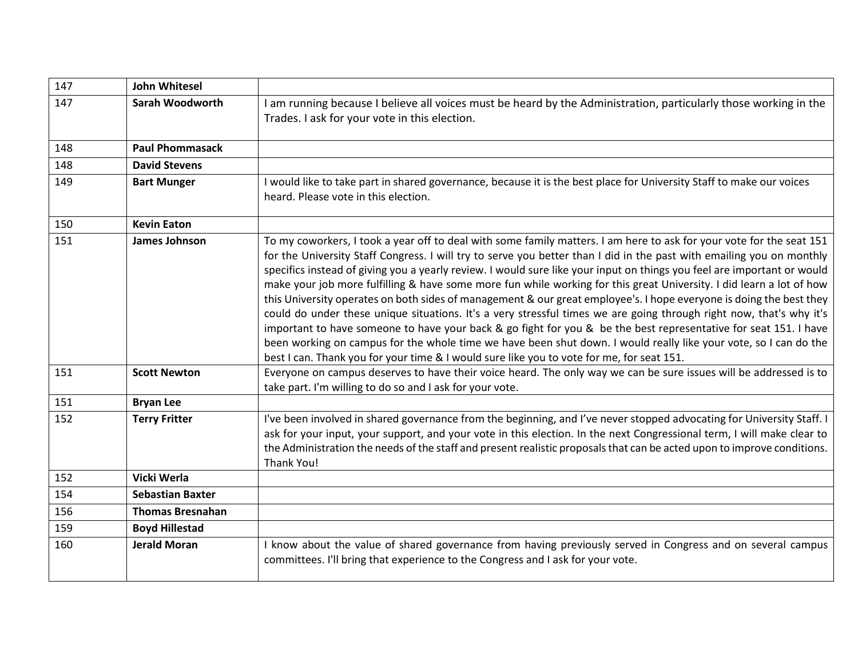| 147 | <b>John Whitesel</b>    |                                                                                                                                                                                                                                                                                                                                                                                                                                                                                                                                                                                                                                                                                                                                                                                                                                                                                                                                                                                                                                                                                     |
|-----|-------------------------|-------------------------------------------------------------------------------------------------------------------------------------------------------------------------------------------------------------------------------------------------------------------------------------------------------------------------------------------------------------------------------------------------------------------------------------------------------------------------------------------------------------------------------------------------------------------------------------------------------------------------------------------------------------------------------------------------------------------------------------------------------------------------------------------------------------------------------------------------------------------------------------------------------------------------------------------------------------------------------------------------------------------------------------------------------------------------------------|
| 147 | <b>Sarah Woodworth</b>  | I am running because I believe all voices must be heard by the Administration, particularly those working in the<br>Trades. I ask for your vote in this election.                                                                                                                                                                                                                                                                                                                                                                                                                                                                                                                                                                                                                                                                                                                                                                                                                                                                                                                   |
| 148 | <b>Paul Phommasack</b>  |                                                                                                                                                                                                                                                                                                                                                                                                                                                                                                                                                                                                                                                                                                                                                                                                                                                                                                                                                                                                                                                                                     |
| 148 | <b>David Stevens</b>    |                                                                                                                                                                                                                                                                                                                                                                                                                                                                                                                                                                                                                                                                                                                                                                                                                                                                                                                                                                                                                                                                                     |
| 149 | <b>Bart Munger</b>      | I would like to take part in shared governance, because it is the best place for University Staff to make our voices<br>heard. Please vote in this election.                                                                                                                                                                                                                                                                                                                                                                                                                                                                                                                                                                                                                                                                                                                                                                                                                                                                                                                        |
| 150 | <b>Kevin Eaton</b>      |                                                                                                                                                                                                                                                                                                                                                                                                                                                                                                                                                                                                                                                                                                                                                                                                                                                                                                                                                                                                                                                                                     |
| 151 | James Johnson           | To my coworkers, I took a year off to deal with some family matters. I am here to ask for your vote for the seat 151<br>for the University Staff Congress. I will try to serve you better than I did in the past with emailing you on monthly<br>specifics instead of giving you a yearly review. I would sure like your input on things you feel are important or would<br>make your job more fulfilling & have some more fun while working for this great University. I did learn a lot of how<br>this University operates on both sides of management & our great employee's. I hope everyone is doing the best they<br>could do under these unique situations. It's a very stressful times we are going through right now, that's why it's<br>important to have someone to have your back & go fight for you & be the best representative for seat 151. I have<br>been working on campus for the whole time we have been shut down. I would really like your vote, so I can do the<br>best I can. Thank you for your time & I would sure like you to vote for me, for seat 151. |
| 151 | <b>Scott Newton</b>     | Everyone on campus deserves to have their voice heard. The only way we can be sure issues will be addressed is to<br>take part. I'm willing to do so and I ask for your vote.                                                                                                                                                                                                                                                                                                                                                                                                                                                                                                                                                                                                                                                                                                                                                                                                                                                                                                       |
| 151 | <b>Bryan Lee</b>        |                                                                                                                                                                                                                                                                                                                                                                                                                                                                                                                                                                                                                                                                                                                                                                                                                                                                                                                                                                                                                                                                                     |
| 152 | <b>Terry Fritter</b>    | I've been involved in shared governance from the beginning, and I've never stopped advocating for University Staff. I<br>ask for your input, your support, and your vote in this election. In the next Congressional term, I will make clear to<br>the Administration the needs of the staff and present realistic proposals that can be acted upon to improve conditions.<br>Thank You!                                                                                                                                                                                                                                                                                                                                                                                                                                                                                                                                                                                                                                                                                            |
| 152 | Vicki Werla             |                                                                                                                                                                                                                                                                                                                                                                                                                                                                                                                                                                                                                                                                                                                                                                                                                                                                                                                                                                                                                                                                                     |
| 154 | <b>Sebastian Baxter</b> |                                                                                                                                                                                                                                                                                                                                                                                                                                                                                                                                                                                                                                                                                                                                                                                                                                                                                                                                                                                                                                                                                     |
| 156 | <b>Thomas Bresnahan</b> |                                                                                                                                                                                                                                                                                                                                                                                                                                                                                                                                                                                                                                                                                                                                                                                                                                                                                                                                                                                                                                                                                     |
| 159 | <b>Boyd Hillestad</b>   |                                                                                                                                                                                                                                                                                                                                                                                                                                                                                                                                                                                                                                                                                                                                                                                                                                                                                                                                                                                                                                                                                     |
| 160 | <b>Jerald Moran</b>     | I know about the value of shared governance from having previously served in Congress and on several campus<br>committees. I'll bring that experience to the Congress and I ask for your vote.                                                                                                                                                                                                                                                                                                                                                                                                                                                                                                                                                                                                                                                                                                                                                                                                                                                                                      |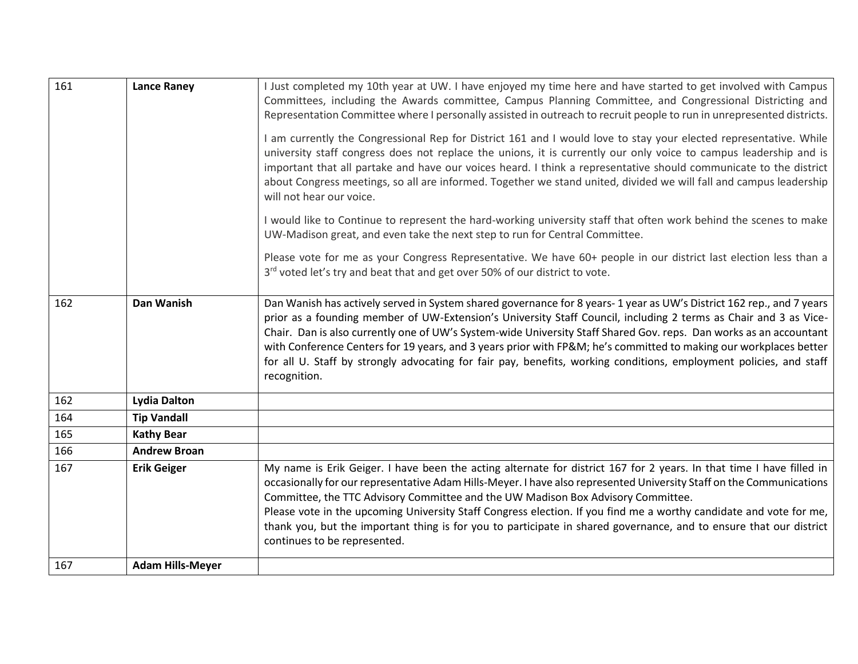| 161 | <b>Lance Raney</b>      | I Just completed my 10th year at UW. I have enjoyed my time here and have started to get involved with Campus<br>Committees, including the Awards committee, Campus Planning Committee, and Congressional Districting and<br>Representation Committee where I personally assisted in outreach to recruit people to run in unrepresented districts.                                                                                                                                                                                                                                                                       |
|-----|-------------------------|--------------------------------------------------------------------------------------------------------------------------------------------------------------------------------------------------------------------------------------------------------------------------------------------------------------------------------------------------------------------------------------------------------------------------------------------------------------------------------------------------------------------------------------------------------------------------------------------------------------------------|
|     |                         | I am currently the Congressional Rep for District 161 and I would love to stay your elected representative. While<br>university staff congress does not replace the unions, it is currently our only voice to campus leadership and is<br>important that all partake and have our voices heard. I think a representative should communicate to the district<br>about Congress meetings, so all are informed. Together we stand united, divided we will fall and campus leadership<br>will not hear our voice.                                                                                                            |
|     |                         | I would like to Continue to represent the hard-working university staff that often work behind the scenes to make<br>UW-Madison great, and even take the next step to run for Central Committee.                                                                                                                                                                                                                                                                                                                                                                                                                         |
|     |                         | Please vote for me as your Congress Representative. We have 60+ people in our district last election less than a<br>3rd voted let's try and beat that and get over 50% of our district to vote.                                                                                                                                                                                                                                                                                                                                                                                                                          |
| 162 | Dan Wanish              | Dan Wanish has actively served in System shared governance for 8 years-1 year as UW's District 162 rep., and 7 years<br>prior as a founding member of UW-Extension's University Staff Council, including 2 terms as Chair and 3 as Vice-<br>Chair. Dan is also currently one of UW's System-wide University Staff Shared Gov. reps. Dan works as an accountant<br>with Conference Centers for 19 years, and 3 years prior with FP&M he's committed to making our workplaces better<br>for all U. Staff by strongly advocating for fair pay, benefits, working conditions, employment policies, and staff<br>recognition. |
| 162 | <b>Lydia Dalton</b>     |                                                                                                                                                                                                                                                                                                                                                                                                                                                                                                                                                                                                                          |
| 164 | <b>Tip Vandall</b>      |                                                                                                                                                                                                                                                                                                                                                                                                                                                                                                                                                                                                                          |
| 165 | <b>Kathy Bear</b>       |                                                                                                                                                                                                                                                                                                                                                                                                                                                                                                                                                                                                                          |
| 166 | <b>Andrew Broan</b>     |                                                                                                                                                                                                                                                                                                                                                                                                                                                                                                                                                                                                                          |
| 167 | <b>Erik Geiger</b>      | My name is Erik Geiger. I have been the acting alternate for district 167 for 2 years. In that time I have filled in<br>occasionally for our representative Adam Hills-Meyer. I have also represented University Staff on the Communications<br>Committee, the TTC Advisory Committee and the UW Madison Box Advisory Committee.<br>Please vote in the upcoming University Staff Congress election. If you find me a worthy candidate and vote for me,<br>thank you, but the important thing is for you to participate in shared governance, and to ensure that our district<br>continues to be represented.             |
| 167 | <b>Adam Hills-Meyer</b> |                                                                                                                                                                                                                                                                                                                                                                                                                                                                                                                                                                                                                          |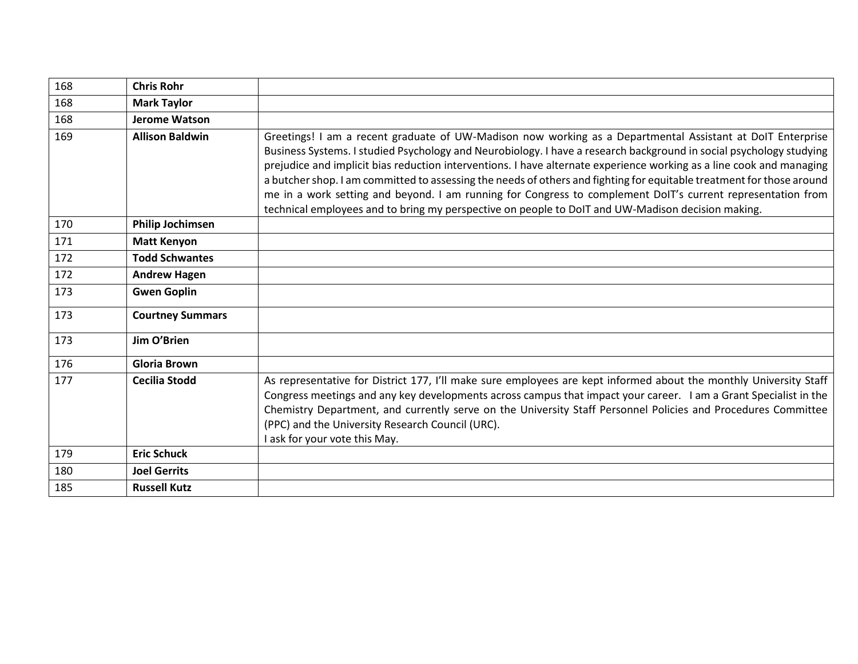| 168 | <b>Chris Rohr</b>       |                                                                                                                                                                                                                                                                                                                                                                                                                                                                                                                                                                                                                                                                                                        |
|-----|-------------------------|--------------------------------------------------------------------------------------------------------------------------------------------------------------------------------------------------------------------------------------------------------------------------------------------------------------------------------------------------------------------------------------------------------------------------------------------------------------------------------------------------------------------------------------------------------------------------------------------------------------------------------------------------------------------------------------------------------|
| 168 | <b>Mark Taylor</b>      |                                                                                                                                                                                                                                                                                                                                                                                                                                                                                                                                                                                                                                                                                                        |
| 168 | <b>Jerome Watson</b>    |                                                                                                                                                                                                                                                                                                                                                                                                                                                                                                                                                                                                                                                                                                        |
| 169 | <b>Allison Baldwin</b>  | Greetings! I am a recent graduate of UW-Madison now working as a Departmental Assistant at DoIT Enterprise<br>Business Systems. I studied Psychology and Neurobiology. I have a research background in social psychology studying<br>prejudice and implicit bias reduction interventions. I have alternate experience working as a line cook and managing<br>a butcher shop. I am committed to assessing the needs of others and fighting for equitable treatment for those around<br>me in a work setting and beyond. I am running for Congress to complement DoIT's current representation from<br>technical employees and to bring my perspective on people to DoIT and UW-Madison decision making. |
| 170 | <b>Philip Jochimsen</b> |                                                                                                                                                                                                                                                                                                                                                                                                                                                                                                                                                                                                                                                                                                        |
| 171 | <b>Matt Kenyon</b>      |                                                                                                                                                                                                                                                                                                                                                                                                                                                                                                                                                                                                                                                                                                        |
| 172 | <b>Todd Schwantes</b>   |                                                                                                                                                                                                                                                                                                                                                                                                                                                                                                                                                                                                                                                                                                        |
| 172 | <b>Andrew Hagen</b>     |                                                                                                                                                                                                                                                                                                                                                                                                                                                                                                                                                                                                                                                                                                        |
| 173 | <b>Gwen Goplin</b>      |                                                                                                                                                                                                                                                                                                                                                                                                                                                                                                                                                                                                                                                                                                        |
| 173 | <b>Courtney Summars</b> |                                                                                                                                                                                                                                                                                                                                                                                                                                                                                                                                                                                                                                                                                                        |
| 173 | Jim O'Brien             |                                                                                                                                                                                                                                                                                                                                                                                                                                                                                                                                                                                                                                                                                                        |
| 176 | <b>Gloria Brown</b>     |                                                                                                                                                                                                                                                                                                                                                                                                                                                                                                                                                                                                                                                                                                        |
| 177 | Cecilia Stodd           | As representative for District 177, I'll make sure employees are kept informed about the monthly University Staff<br>Congress meetings and any key developments across campus that impact your career. I am a Grant Specialist in the<br>Chemistry Department, and currently serve on the University Staff Personnel Policies and Procedures Committee<br>(PPC) and the University Research Council (URC).<br>I ask for your vote this May.                                                                                                                                                                                                                                                            |
| 179 | <b>Eric Schuck</b>      |                                                                                                                                                                                                                                                                                                                                                                                                                                                                                                                                                                                                                                                                                                        |
| 180 | <b>Joel Gerrits</b>     |                                                                                                                                                                                                                                                                                                                                                                                                                                                                                                                                                                                                                                                                                                        |
| 185 | <b>Russell Kutz</b>     |                                                                                                                                                                                                                                                                                                                                                                                                                                                                                                                                                                                                                                                                                                        |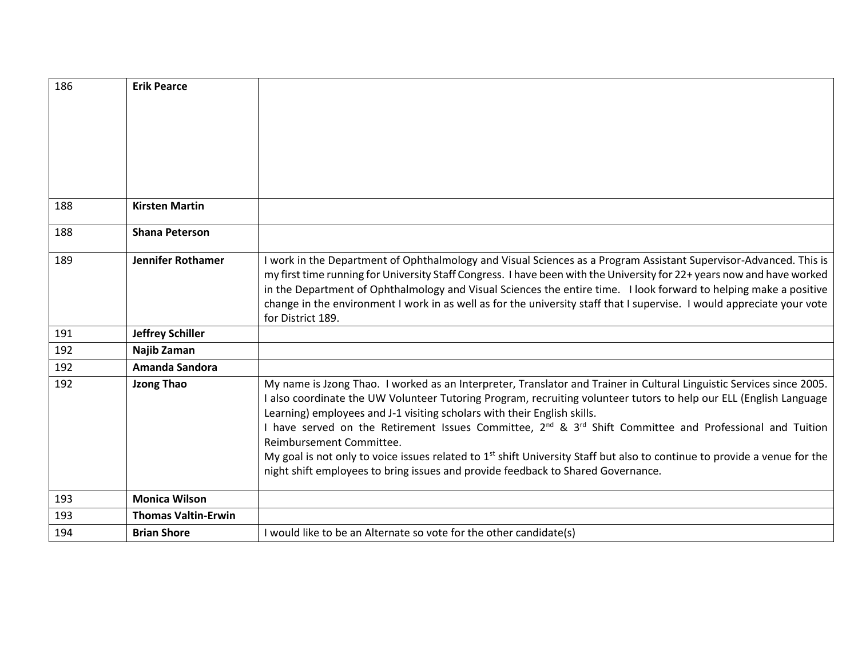| 186 | <b>Erik Pearce</b>         |                                                                                                                                                                                                                                             |
|-----|----------------------------|---------------------------------------------------------------------------------------------------------------------------------------------------------------------------------------------------------------------------------------------|
|     |                            |                                                                                                                                                                                                                                             |
|     |                            |                                                                                                                                                                                                                                             |
|     |                            |                                                                                                                                                                                                                                             |
|     |                            |                                                                                                                                                                                                                                             |
|     |                            |                                                                                                                                                                                                                                             |
| 188 | <b>Kirsten Martin</b>      |                                                                                                                                                                                                                                             |
|     |                            |                                                                                                                                                                                                                                             |
| 188 | <b>Shana Peterson</b>      |                                                                                                                                                                                                                                             |
| 189 | <b>Jennifer Rothamer</b>   | I work in the Department of Ophthalmology and Visual Sciences as a Program Assistant Supervisor-Advanced. This is                                                                                                                           |
|     |                            | my first time running for University Staff Congress. I have been with the University for 22+ years now and have worked                                                                                                                      |
|     |                            | in the Department of Ophthalmology and Visual Sciences the entire time. I look forward to helping make a positive<br>change in the environment I work in as well as for the university staff that I supervise. I would appreciate your vote |
|     |                            | for District 189.                                                                                                                                                                                                                           |
| 191 | <b>Jeffrey Schiller</b>    |                                                                                                                                                                                                                                             |
| 192 | Najib Zaman                |                                                                                                                                                                                                                                             |
| 192 | Amanda Sandora             |                                                                                                                                                                                                                                             |
| 192 | <b>Jzong Thao</b>          | My name is Jzong Thao. I worked as an Interpreter, Translator and Trainer in Cultural Linguistic Services since 2005.                                                                                                                       |
|     |                            | I also coordinate the UW Volunteer Tutoring Program, recruiting volunteer tutors to help our ELL (English Language<br>Learning) employees and J-1 visiting scholars with their English skills.                                              |
|     |                            | I have served on the Retirement Issues Committee, 2 <sup>nd</sup> & 3 <sup>rd</sup> Shift Committee and Professional and Tuition                                                                                                            |
|     |                            | Reimbursement Committee.                                                                                                                                                                                                                    |
|     |                            | My goal is not only to voice issues related to 1 <sup>st</sup> shift University Staff but also to continue to provide a venue for the                                                                                                       |
|     |                            | night shift employees to bring issues and provide feedback to Shared Governance.                                                                                                                                                            |
| 193 | <b>Monica Wilson</b>       |                                                                                                                                                                                                                                             |
| 193 | <b>Thomas Valtin-Erwin</b> |                                                                                                                                                                                                                                             |
| 194 | <b>Brian Shore</b>         | I would like to be an Alternate so vote for the other candidate(s)                                                                                                                                                                          |